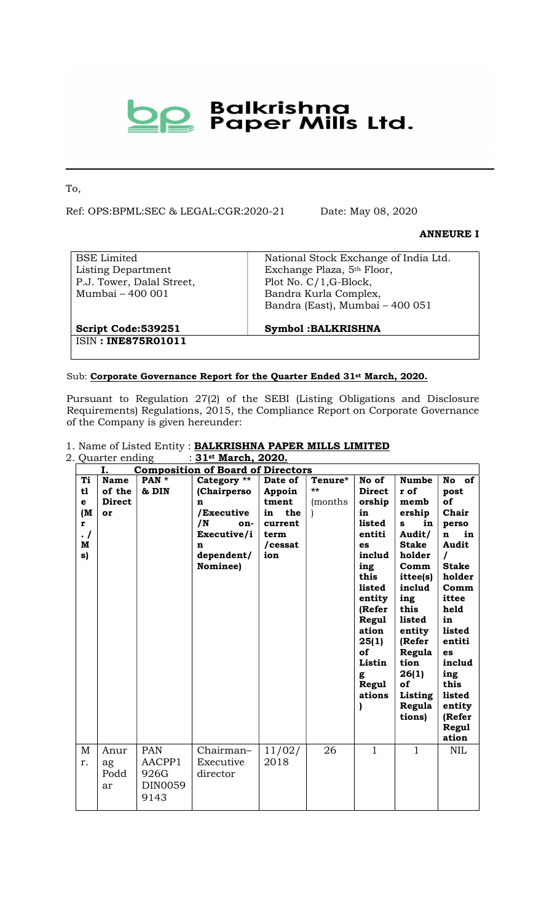# **De Balkrishna**<br>Paper Mills Ltd.

To,

Ref: OPS:BPML:SEC & LEGAL:CGR:2020-21 Date: May 08, 2020

#### ANNEURE I

BSE Limited Listing Department P.J. Tower, Dalal Street, Mumbai – 400 001

National Stock Exchange of India Ltd. Exchange Plaza, 5th Floor, Plot No. C/1,G-Block, Bandra Kurla Complex, Bandra (East), Mumbai – 400 051

Script Code:539251 ISIN : INE875R01011 Symbol :BALKRISHNA

#### Sub: Corporate Governance Report for the Quarter Ended 31<sup>st</sup> March, 2020.

Pursuant to Regulation 27(2) of the SEBI (Listing Obligations and Disclosure Requirements) Regulations, 2015, the Compliance Report on Corporate Governance of the Company is given hereunder:

#### 1. Name of Listed Entity : BALKRISHNA PAPER MILLS LIMITED

| 2. Quarter ending<br>: 31st March, 2020.         |                                              |                                                 |                                                                                                          |                                                                              |                          |                                                                                                                                                                                                   |                                                                                                                                                                                                                                  |                                                                                                                                                                                                                                                    |
|--------------------------------------------------|----------------------------------------------|-------------------------------------------------|----------------------------------------------------------------------------------------------------------|------------------------------------------------------------------------------|--------------------------|---------------------------------------------------------------------------------------------------------------------------------------------------------------------------------------------------|----------------------------------------------------------------------------------------------------------------------------------------------------------------------------------------------------------------------------------|----------------------------------------------------------------------------------------------------------------------------------------------------------------------------------------------------------------------------------------------------|
| I.<br><b>Composition of Board of Directors</b>   |                                              |                                                 |                                                                                                          |                                                                              |                          |                                                                                                                                                                                                   |                                                                                                                                                                                                                                  |                                                                                                                                                                                                                                                    |
| Ti<br>t1<br>e<br>(M<br>r<br>$\cdot$ /<br>M<br>s) | <b>Name</b><br>of the<br><b>Direct</b><br>or | PAN *<br>& DIN                                  | Category **<br>(Chairperso<br>n<br>/Executive<br>/N<br>on-<br>Executive/i<br>n<br>dependent/<br>Nominee) | Date of<br>Appoin<br>tment<br>the<br>in<br>current<br>term<br>/cessat<br>ion | Tenure*<br>**<br>(months | No of<br><b>Direct</b><br>orship<br>in<br>listed<br>entiti<br>es<br>includ<br>ing<br>this<br>listed<br>entity<br>(Refer<br><b>Regul</b><br>ation<br>25(1)<br>of<br>Listin<br>g<br>Regul<br>ations | <b>Numbe</b><br>r of<br>memb<br>ership<br>in<br>s<br>Audit/<br><b>Stake</b><br>holder<br>Comm<br>ittee(s)<br>includ<br>ing<br>this<br>listed<br>entity<br>(Refer<br>Regula<br>tion<br>26(1)<br>of<br>Listing<br>Regula<br>tions) | No of<br>post<br>of<br>Chair<br>perso<br>in<br>$\mathbf n$<br><b>Audit</b><br>$\prime$<br><b>Stake</b><br>holder<br>Comm<br>ittee<br>held<br>in<br>listed<br>entiti<br>es<br>includ<br>ing<br>this<br>listed<br>entity<br>(Refer<br>Regul<br>ation |
| M<br>r.                                          | Anur<br>ag<br>Podd<br>ar                     | <b>PAN</b><br>AACPP1<br>926G<br>DIN0059<br>9143 | Chairman-<br>Executive<br>director                                                                       | 11/02/<br>2018                                                               | 26                       | $\mathbf{1}$                                                                                                                                                                                      | $\mathbf{1}$                                                                                                                                                                                                                     | <b>NIL</b>                                                                                                                                                                                                                                         |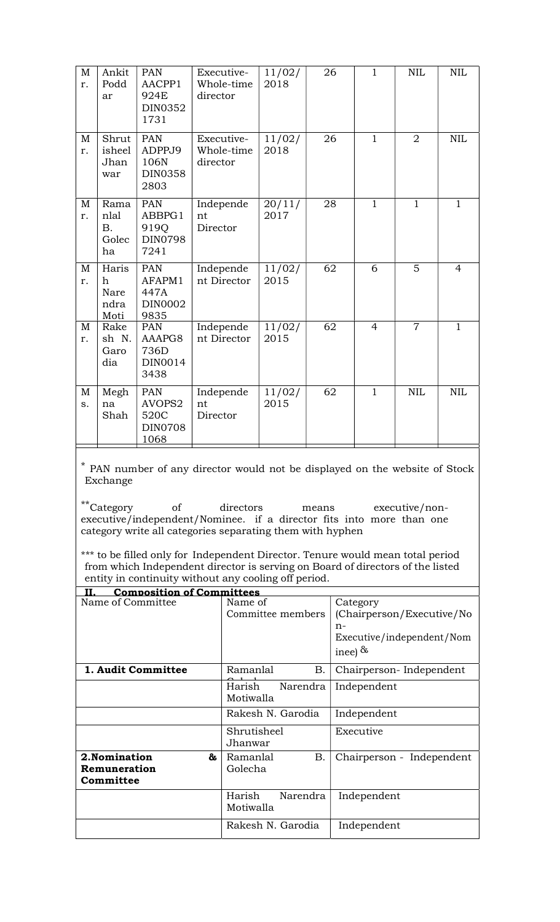| $\mathbf M$<br>r. | Ankit<br>Podd<br>ar                      | <b>PAN</b><br>AACPP1<br>924E<br>DIN0352<br>1731        | Executive-<br>Whole-time<br>director | 11/02/<br>2018 | 26 | $\mathbf{1}$   | <b>NIL</b>     | <b>NIL</b>     |
|-------------------|------------------------------------------|--------------------------------------------------------|--------------------------------------|----------------|----|----------------|----------------|----------------|
| M<br>r.           | Shrut<br>isheel<br>Jhan<br>war           | <b>PAN</b><br>ADPPJ9<br>106N<br><b>DIN0358</b><br>2803 | Executive-<br>Whole-time<br>director | 11/02/<br>2018 | 26 | $\mathbf{1}$   | $\overline{2}$ | $\mbox{NIL}$   |
| $\mathbf M$<br>r. | Rama<br>nlal<br><b>B.</b><br>Golec<br>ha | <b>PAN</b><br>ABBPG1<br>919Q<br><b>DIN0798</b><br>7241 | Independe<br>nt<br>Director          | 20/11/<br>2017 | 28 | $\mathbf{1}$   | $\mathbf{1}$   | $\mathbf{1}$   |
| $\mathbf M$<br>r. | Haris<br>h<br>Nare<br>ndra<br>Moti       | <b>PAN</b><br>AFAPM1<br>447A<br>DIN0002<br>9835        | Independe<br>nt Director             | 11/02/<br>2015 | 62 | 6              | 5              | $\overline{4}$ |
| M<br>r.           | Rake<br>sh N.<br>Garo<br>dia             | <b>PAN</b><br>AAAPG8<br>736D<br>DIN0014<br>3438        | Independe<br>nt Director             | 11/02/<br>2015 | 62 | $\overline{4}$ | $\overline{7}$ | $\mathbf{1}$   |
| $\mathbf M$<br>S. | Megh<br>na<br>Shah                       | <b>PAN</b><br>AVOPS2<br>520C<br><b>DIN0708</b><br>1068 | Independe<br>nt<br>Director          | 11/02/<br>2015 | 62 | $\overline{1}$ | <b>NIL</b>     | $\text{NIL}$   |

\* PAN number of any director would not be displayed on the website of Stock Exchange

\*\*Category of directors means executive/nonexecutive/independent/Nominee. if a director fits into more than one category write all categories separating them with hyphen

\*\*\* to be filled only for Independent Director. Tenure would mean total period from which Independent director is serving on Board of directors of the listed entity in continuity without any cooling off period.

| <b>Composition of Committees</b><br>TT          |                                  |                                       |
|-------------------------------------------------|----------------------------------|---------------------------------------|
| Name of Committee                               | Name of<br>Committee members     | Category<br>(Chairperson/Executive/No |
|                                                 |                                  |                                       |
|                                                 |                                  | $n-$<br>Executive/independent/Nom     |
|                                                 |                                  | inee) $\&$                            |
| 1. Audit Committee                              | <b>B.</b><br>Ramanlal            | Chairperson-Independent               |
|                                                 | Harish<br>Narendra<br>Motiwalla  | Independent                           |
|                                                 | Rakesh N. Garodia                | Independent                           |
|                                                 | Shrutisheel<br>Jhanwar           | Executive                             |
| 2. Nomination<br>&<br>Remuneration<br>Committee | <b>B.</b><br>Ramanlal<br>Golecha | Chairperson -<br>Independent          |
|                                                 | Harish<br>Narendra<br>Motiwalla  | Independent                           |
|                                                 | Rakesh N. Garodia                | Independent                           |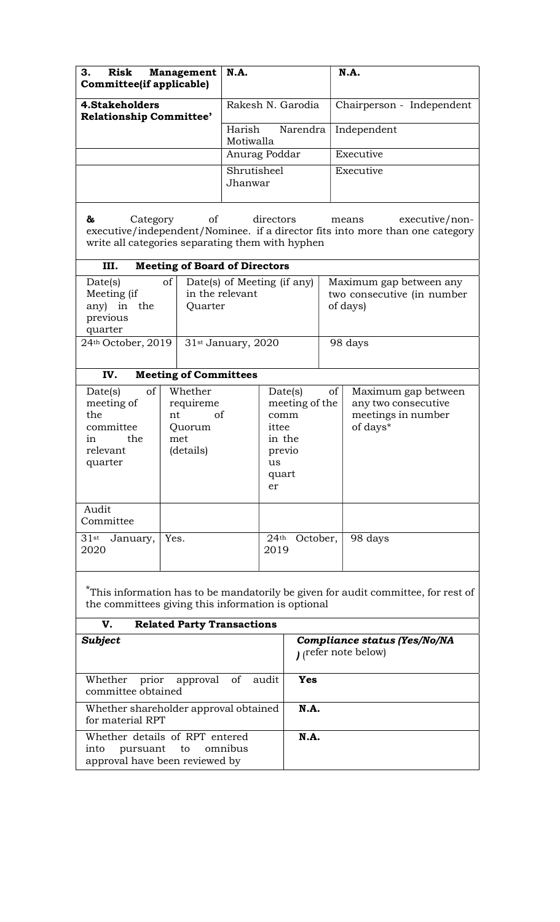| З.<br>Management<br>Risk<br>Committee(if applicable) | <b>N.A.</b>                     | <b>N.A.</b>               |
|------------------------------------------------------|---------------------------------|---------------------------|
| 4. Stakeholders<br><b>Relationship Committee'</b>    | Rakesh N. Garodia               | Chairperson - Independent |
|                                                      | Harish<br>Narendra<br>Motiwalla | Independent               |
|                                                      | Anurag Poddar                   | Executive                 |
|                                                      | Shrutisheel<br>Jhanwar          | Executive                 |

& Category of directors means executive/nonexecutive/independent/Nominee. if a director fits into more than one category write all categories separating them with hyphen

| <b>Meeting of Board of Directors</b><br>III.                          |                                                           |                                                                   |  |  |  |  |
|-----------------------------------------------------------------------|-----------------------------------------------------------|-------------------------------------------------------------------|--|--|--|--|
| of<br>Date(s)<br>Meeting (if<br>any) in<br>the<br>previous<br>quarter | Date(s) of Meeting (if any)<br>in the relevant<br>Quarter | Maximum gap between any<br>two consecutive (in number<br>of days) |  |  |  |  |
| 24th October, 2019                                                    | 31 <sup>st</sup> January, 2020                            | 98 days                                                           |  |  |  |  |

# IV. Meeting of Committees

| <sub>of</sub><br>Date(s)<br>meeting of<br>the<br>committee<br>in<br>the<br>relevant<br>quarter | Whether<br>requireme<br>of<br>nt<br>Quorum<br>met<br>(details) | Date(s)<br>of<br>meeting of the<br>comm<br>ittee<br>in the<br>previo<br>us<br>quart<br>er | Maximum gap between<br>any two consecutive<br>meetings in number<br>of days* |
|------------------------------------------------------------------------------------------------|----------------------------------------------------------------|-------------------------------------------------------------------------------------------|------------------------------------------------------------------------------|
| Audit<br>Committee                                                                             |                                                                |                                                                                           |                                                                              |
| $31$ st<br>January,<br>2020                                                                    | Yes.                                                           | October,<br>24 <sup>th</sup><br>2019                                                      | 98 days                                                                      |

\*This information has to be mandatorily be given for audit committee, for rest of the committees giving this information is optional

| V.<br><b>Related Party Transactions</b>                                                         |                                                          |
|-------------------------------------------------------------------------------------------------|----------------------------------------------------------|
| <b>Subject</b>                                                                                  | Compliance status (Yes/No/NA<br>$\mu$ (refer note below) |
| Whether<br>prior approval of audit<br>committee obtained                                        | Yes                                                      |
| Whether shareholder approval obtained<br>for material RPT                                       | <b>N.A.</b>                                              |
| Whether details of RPT entered<br>pursuant to omnibus<br>into<br>approval have been reviewed by | <b>N.A.</b>                                              |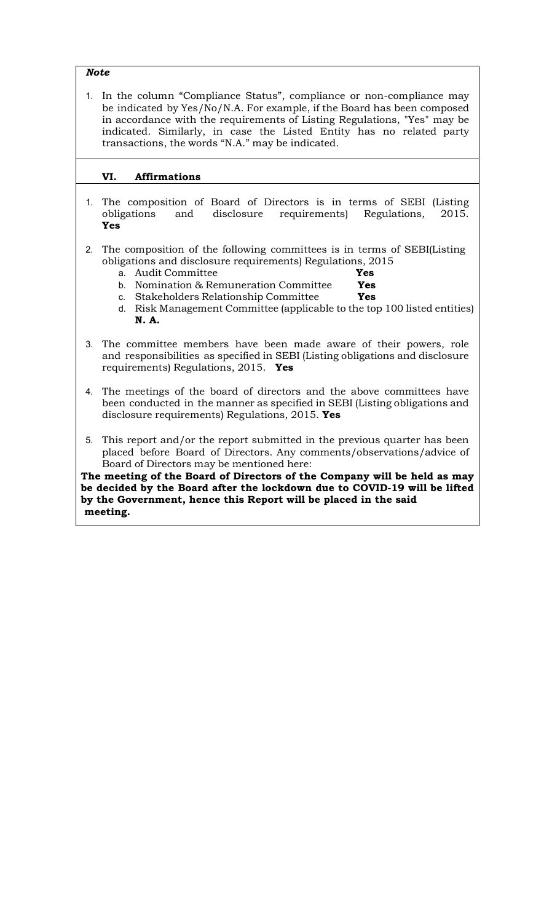Note

1. In the column "Compliance Status", compliance or non-compliance may be indicated by Yes/No/N.A. For example, if the Board has been composed in accordance with the requirements of Listing Regulations, "Yes" may be indicated. Similarly, in case the Listed Entity has no related party transactions, the words "N.A." may be indicated.

#### VI. Affirmations

- 1. The composition of Board of Directors is in terms of SEBI (Listing obligations and disclosure requirements) Regulations, 2015. Yes
- 2. The composition of the following committees is in terms of SEBI(Listing obligations and disclosure requirements) Regulations, 2015
	- a. Audit Committee **Yes**
	- b. Nomination  $&$  Remuneration Committee Yes
	- c. Stakeholders Relationship Committee Yes
	- d. Risk Management Committee (applicable to the top 100 listed entities) N. A.
- 3. The committee members have been made aware of their powers, role and responsibilities as specified in SEBI (Listing obligations and disclosure requirements) Regulations, 2015. Yes
- 4. The meetings of the board of directors and the above committees have been conducted in the manner as specified in SEBI (Listing obligations and disclosure requirements) Regulations, 2015. Yes
- 5. This report and/or the report submitted in the previous quarter has been placed before Board of Directors. Any comments/observations/advice of Board of Directors may be mentioned here:

The meeting of the Board of Directors of the Company will be held as may be decided by the Board after the lockdown due to COVID-19 will be lifted by the Government, hence this Report will be placed in the said meeting.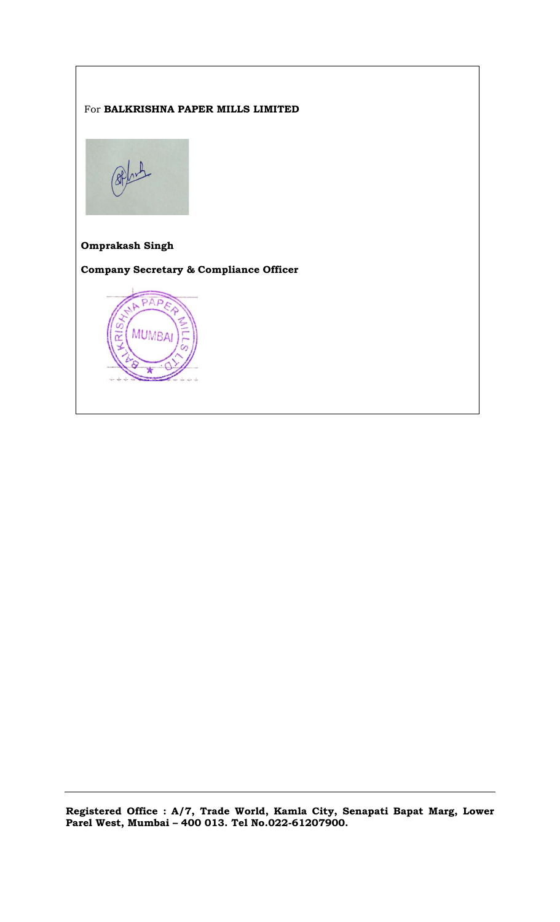#### For BALKRISHNA PAPER MILLS LIMITED



## Omprakash Singh

Company Secretary & Compliance Officer



Registered Office : A/7, Trade World, Kamla City, Senapati Bapat Marg, Lower Parel West, Mumbai – 400 013. Tel No.022-61207900.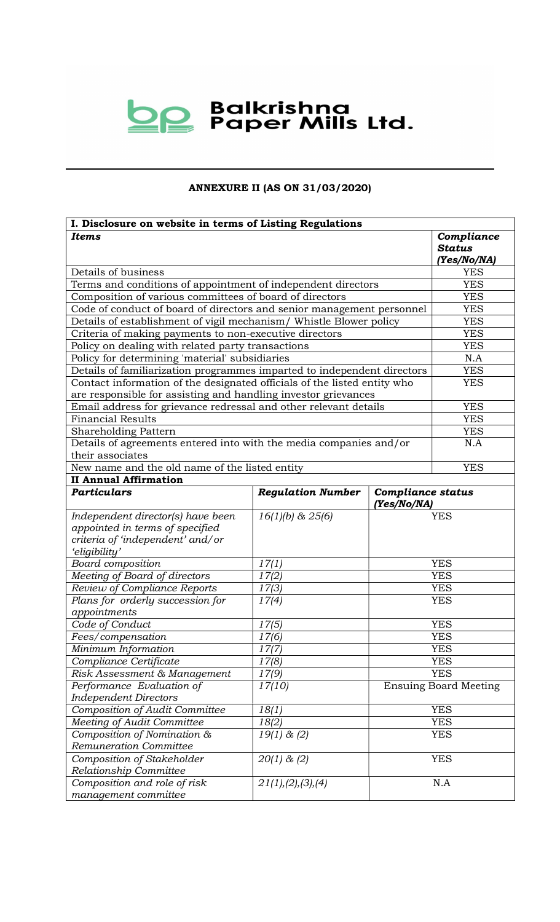

## ANNEXURE II (AS ON 31/03/2020)

| I. Disclosure on website in terms of Listing Regulations                 |                          |                                         |                              |  |  |  |
|--------------------------------------------------------------------------|--------------------------|-----------------------------------------|------------------------------|--|--|--|
| <b>Items</b>                                                             | Compliance               |                                         |                              |  |  |  |
|                                                                          |                          |                                         | <b>Status</b>                |  |  |  |
|                                                                          | (Yes/No/NA)              |                                         |                              |  |  |  |
| Details of business                                                      | <b>YES</b>               |                                         |                              |  |  |  |
| Terms and conditions of appointment of independent directors             |                          |                                         | <b>YES</b>                   |  |  |  |
| Composition of various committees of board of directors                  |                          |                                         | <b>YES</b>                   |  |  |  |
| Code of conduct of board of directors and senior management personnel    |                          |                                         | <b>YES</b>                   |  |  |  |
| Details of establishment of vigil mechanism/ Whistle Blower policy       |                          |                                         | <b>YES</b>                   |  |  |  |
| Criteria of making payments to non-executive directors                   |                          |                                         | <b>YES</b>                   |  |  |  |
| Policy on dealing with related party transactions                        |                          |                                         | <b>YES</b>                   |  |  |  |
| Policy for determining 'material' subsidiaries                           |                          |                                         | N.A                          |  |  |  |
| Details of familiarization programmes imparted to independent directors  |                          |                                         | <b>YES</b>                   |  |  |  |
| Contact information of the designated officials of the listed entity who |                          |                                         | <b>YES</b>                   |  |  |  |
| are responsible for assisting and handling investor grievances           |                          |                                         |                              |  |  |  |
| Email address for grievance redressal and other relevant details         |                          |                                         | <b>YES</b>                   |  |  |  |
| <b>Financial Results</b>                                                 |                          |                                         | <b>YES</b>                   |  |  |  |
| Shareholding Pattern                                                     |                          |                                         | <b>YES</b>                   |  |  |  |
| Details of agreements entered into with the media companies and/or       |                          |                                         | N.A                          |  |  |  |
| their associates                                                         |                          |                                         |                              |  |  |  |
| New name and the old name of the listed entity                           |                          |                                         | <b>YES</b>                   |  |  |  |
| <b>II Annual Affirmation</b>                                             |                          |                                         |                              |  |  |  |
| <b>Particulars</b>                                                       | <b>Regulation Number</b> | <b>Compliance status</b><br>(Yes/No/NA) |                              |  |  |  |
| Independent director(s) have been                                        | $16(1)(b)$ & $25(6)$     |                                         | <b>YES</b>                   |  |  |  |
| appointed in terms of specified                                          |                          |                                         |                              |  |  |  |
| criteria of 'independent' and/or                                         |                          |                                         |                              |  |  |  |
| 'eligibility'                                                            |                          |                                         |                              |  |  |  |
| Board composition                                                        | 17(1)                    |                                         | <b>YES</b>                   |  |  |  |
| Meeting of Board of directors                                            | 17(2)                    |                                         | <b>YES</b>                   |  |  |  |
| Review of Compliance Reports                                             | 17(3)                    | <b>YES</b>                              |                              |  |  |  |
| Plans for orderly succession for                                         | 17(4)                    | <b>YES</b>                              |                              |  |  |  |
| appointments                                                             |                          |                                         |                              |  |  |  |
| Code of Conduct                                                          | 17(5)                    | <b>YES</b>                              |                              |  |  |  |
| Fees/compensation                                                        | 17(6)                    | <b>YES</b>                              |                              |  |  |  |
| Minimum Information                                                      | 17(7)                    |                                         | <b>YES</b>                   |  |  |  |
| Compliance Certificate                                                   | 17(8)                    |                                         | <b>YES</b>                   |  |  |  |
| Risk Assessment & Management                                             | <b>YES</b>               |                                         |                              |  |  |  |
| 17(9)<br>Performance Evaluation of<br>17(10)                             |                          |                                         | <b>Ensuing Board Meeting</b> |  |  |  |
| <b>Independent Directors</b>                                             |                          |                                         |                              |  |  |  |
| Composition of Audit Committee                                           | 18(1)                    |                                         | <b>YES</b>                   |  |  |  |
| Meeting of Audit Committee                                               | 18(2)                    | <b>YES</b>                              |                              |  |  |  |
| Composition of Nomination &                                              | <b>YES</b>               |                                         |                              |  |  |  |
| Remuneration Committee                                                   |                          |                                         |                              |  |  |  |
| Composition of Stakeholder                                               | $20(1)$ & $(2)$          |                                         | <b>YES</b>                   |  |  |  |
| Relationship Committee                                                   |                          |                                         |                              |  |  |  |
| Composition and role of risk                                             | 21(1), (2), (3), (4)     |                                         | N.A                          |  |  |  |
| management committee                                                     |                          |                                         |                              |  |  |  |